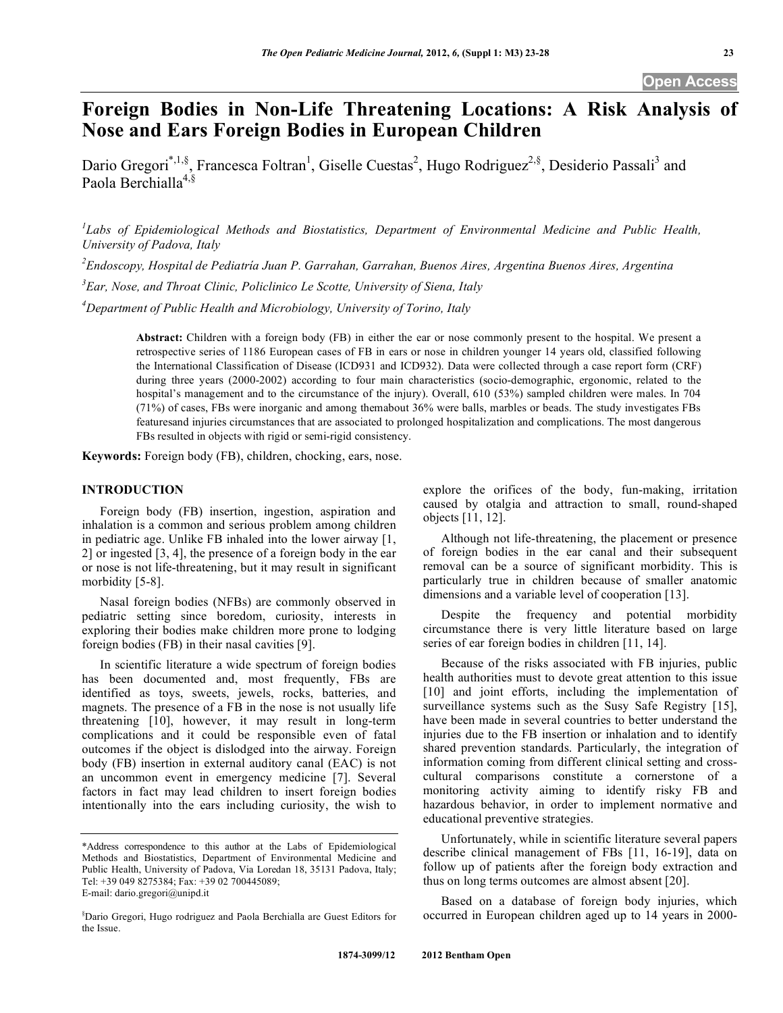# **Foreign Bodies in Non-Life Threatening Locations: A Risk Analysis of Nose and Ears Foreign Bodies in European Children**

Dario Gregori<sup>\*,1,§</sup>, Francesca Foltran<sup>1</sup>, Giselle Cuestas<sup>2</sup>, Hugo Rodriguez<sup>2,§</sup>, Desiderio Passali<sup>3</sup> and Paola Berchialla<sup>4,§</sup>

*1 Labs of Epidemiological Methods and Biostatistics, Department of Environmental Medicine and Public Health, University of Padova, Italy* 

*2 Endoscopy, Hospital de Pediatría Juan P. Garrahan, Garrahan, Buenos Aires, Argentina Buenos Aires, Argentina* 

*3 Ear, Nose, and Throat Clinic, Policlinico Le Scotte, University of Siena, Italy* 

*4 Department of Public Health and Microbiology, University of Torino, Italy* 

**Abstract:** Children with a foreign body (FB) in either the ear or nose commonly present to the hospital. We present a retrospective series of 1186 European cases of FB in ears or nose in children younger 14 years old, classified following the International Classification of Disease (ICD931 and ICD932). Data were collected through a case report form (CRF) during three years (2000-2002) according to four main characteristics (socio-demographic, ergonomic, related to the hospital's management and to the circumstance of the injury). Overall, 610 (53%) sampled children were males. In 704 (71%) of cases, FBs were inorganic and among themabout 36% were balls, marbles or beads. The study investigates FBs featuresand injuries circumstances that are associated to prolonged hospitalization and complications. The most dangerous FBs resulted in objects with rigid or semi-rigid consistency.

**Keywords:** Foreign body (FB), children, chocking, ears, nose.

# **INTRODUCTION**

 Foreign body (FB) insertion, ingestion, aspiration and inhalation is a common and serious problem among children in pediatric age. Unlike FB inhaled into the lower airway [1, 2] or ingested [3, 4], the presence of a foreign body in the ear or nose is not life-threatening, but it may result in significant morbidity [5-8].

 Nasal foreign bodies (NFBs) are commonly observed in pediatric setting since boredom, curiosity, interests in exploring their bodies make children more prone to lodging foreign bodies (FB) in their nasal cavities [9].

 In scientific literature a wide spectrum of foreign bodies has been documented and, most frequently, FBs are identified as toys, sweets, jewels, rocks, batteries, and magnets. The presence of a FB in the nose is not usually life threatening [10], however, it may result in long-term complications and it could be responsible even of fatal outcomes if the object is dislodged into the airway. Foreign body (FB) insertion in external auditory canal (EAC) is not an uncommon event in emergency medicine [7]. Several factors in fact may lead children to insert foreign bodies intentionally into the ears including curiosity, the wish to explore the orifices of the body, fun-making, irritation caused by otalgia and attraction to small, round-shaped objects [11, 12].

 Although not life-threatening, the placement or presence of foreign bodies in the ear canal and their subsequent removal can be a source of significant morbidity. This is particularly true in children because of smaller anatomic dimensions and a variable level of cooperation [13].

 Despite the frequency and potential morbidity circumstance there is very little literature based on large series of ear foreign bodies in children [11, 14].

 Because of the risks associated with FB injuries, public health authorities must to devote great attention to this issue [10] and joint efforts, including the implementation of surveillance systems such as the Susy Safe Registry [15], have been made in several countries to better understand the injuries due to the FB insertion or inhalation and to identify shared prevention standards. Particularly, the integration of information coming from different clinical setting and crosscultural comparisons constitute a cornerstone of a monitoring activity aiming to identify risky FB and hazardous behavior, in order to implement normative and educational preventive strategies.

 Unfortunately, while in scientific literature several papers describe clinical management of FBs [11, 16-19], data on follow up of patients after the foreign body extraction and thus on long terms outcomes are almost absent [20].

 Based on a database of foreign body injuries, which occurred in European children aged up to 14 years in 2000-

<sup>\*</sup>Address correspondence to this author at the Labs of Epidemiological Methods and Biostatistics, Department of Environmental Medicine and Public Health, University of Padova, Via Loredan 18, 35131 Padova, Italy; Tel: +39 049 8275384; Fax: +39 02 700445089; E-mail: dario.gregori@unipd.it

<sup>§</sup> Dario Gregori, Hugo rodriguez and Paola Berchialla are Guest Editors for the Issue.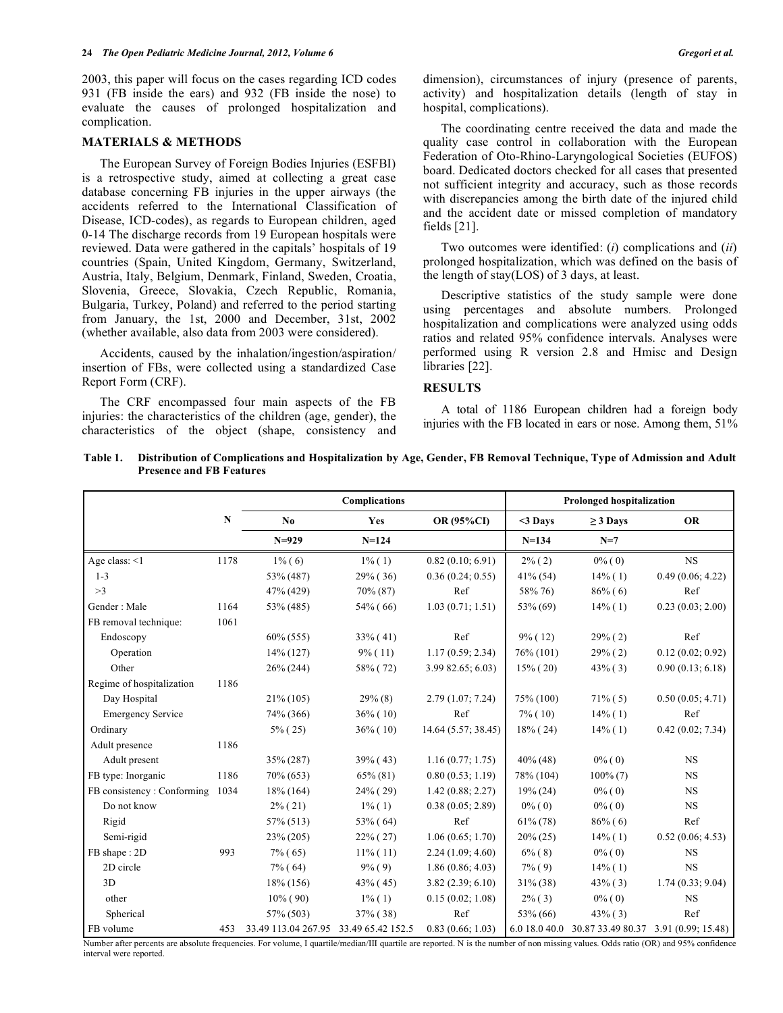2003, this paper will focus on the cases regarding ICD codes 931 (FB inside the ears) and 932 (FB inside the nose) to evaluate the causes of prolonged hospitalization and complication.

# **MATERIALS & METHODS**

 The European Survey of Foreign Bodies Injuries (ESFBI) is a retrospective study, aimed at collecting a great case database concerning FB injuries in the upper airways (the accidents referred to the International Classification of Disease, ICD-codes), as regards to European children, aged 0-14 The discharge records from 19 European hospitals were reviewed. Data were gathered in the capitals' hospitals of 19 countries (Spain, United Kingdom, Germany, Switzerland, Austria, Italy, Belgium, Denmark, Finland, Sweden, Croatia, Slovenia, Greece, Slovakia, Czech Republic, Romania, Bulgaria, Turkey, Poland) and referred to the period starting from January, the 1st, 2000 and December, 31st, 2002 (whether available, also data from 2003 were considered).

 Accidents, caused by the inhalation/ingestion/aspiration/ insertion of FBs, were collected using a standardized Case Report Form (CRF).

 The CRF encompassed four main aspects of the FB injuries: the characteristics of the children (age, gender), the characteristics of the object (shape, consistency and dimension), circumstances of injury (presence of parents, activity) and hospitalization details (length of stay in hospital, complications).

 The coordinating centre received the data and made the quality case control in collaboration with the European Federation of Oto-Rhino-Laryngological Societies (EUFOS) board. Dedicated doctors checked for all cases that presented not sufficient integrity and accuracy, such as those records with discrepancies among the birth date of the injured child and the accident date or missed completion of mandatory fields [21].

 Two outcomes were identified: (*i*) complications and (*ii*) prolonged hospitalization, which was defined on the basis of the length of stay(LOS) of 3 days, at least.

 Descriptive statistics of the study sample were done using percentages and absolute numbers. Prolonged hospitalization and complications were analyzed using odds ratios and related 95% confidence intervals. Analyses were performed using R version 2.8 and Hmisc and Design libraries [22].

# **RESULTS**

 A total of 1186 European children had a foreign body injuries with the FB located in ears or nose. Among them, 51%

| Table 1. | Distribution of Complications and Hospitalization by Age, Gender, FB Removal Technique, Type of Admission and Adult |
|----------|---------------------------------------------------------------------------------------------------------------------|
|          | <b>Presence and FB Features</b>                                                                                     |

|                            |      | Complications                         |             |                     | <b>Prolonged hospitalization</b> |                                                    |                  |
|----------------------------|------|---------------------------------------|-------------|---------------------|----------------------------------|----------------------------------------------------|------------------|
|                            | N    | No                                    | Yes         | OR (95%CI)          | $<$ 3 Days                       | $\geq$ 3 Days                                      | <b>OR</b>        |
|                            |      | $N=929$                               | $N = 124$   |                     | $N = 134$                        | $N=7$                                              |                  |
| Age class: $<1$            | 1178 | $1\%$ (6)                             | $1\%$ (1)   | 0.82(0.10; 6.91)    | $2\%$ (2)                        | $0\%$ (0)                                          | <b>NS</b>        |
| $1 - 3$                    |      | 53% (487)                             | $29\%$ (36) | 0.36(0.24; 0.55)    | 41% (54)                         | $14\%$ (1)                                         | 0.49(0.06; 4.22) |
| >3                         |      | 47% (429)                             | $70\% (87)$ | Ref                 | 58% 76)                          | $86\%$ (6)                                         | Ref              |
| Gender: Male               | 1164 | 53% (485)                             | $54\%$ (66) | 1.03(0.71; 1.51)    | 53% (69)                         | $14\%$ (1)                                         | 0.23(0.03; 2.00) |
| FB removal technique:      | 1061 |                                       |             |                     |                                  |                                                    |                  |
| Endoscopy                  |      | $60\% (555)$                          | $33\%$ (41) | Ref                 | $9\%$ (12)                       | $29\%$ (2)                                         | Ref              |
| Operation                  |      | $14\%$ (127)                          | $9\%$ (11)  | 1.17(0.59; 2.34)    | $76\% (101)$                     | $29\%$ (2)                                         | 0.12(0.02; 0.92) |
| Other                      |      | $26\% (244)$                          | 58% (72)    | 3.9982.65; 6.03     | $15\%$ (20)                      | $43\%$ (3)                                         | 0.90(0.13; 6.18) |
| Regime of hospitalization  | 1186 |                                       |             |                     |                                  |                                                    |                  |
| Day Hospital               |      | $21\% (105)$                          | $29\%$ (8)  | 2.79(1.07; 7.24)    | 75% (100)                        | $71\%$ (5)                                         | 0.50(0.05; 4.71) |
| <b>Emergency Service</b>   |      | 74% (366)                             | $36\%$ (10) | Ref                 | $7\%$ (10)                       | $14\%$ (1)                                         | Ref              |
| Ordinary                   |      | $5\%$ (25)                            | $36\%$ (10) | 14.64 (5.57; 38.45) | $18\%$ (24)                      | 14% (1)                                            | 0.42(0.02; 7.34) |
| Adult presence             | 1186 |                                       |             |                     |                                  |                                                    |                  |
| Adult present              |      | 35% (287)                             | $39\%$ (43) | 1.16(0.77; 1.75)    | $40\%$ (48)                      | $0\%$ (0)                                          | <b>NS</b>        |
| FB type: Inorganic         | 1186 | 70% (653)                             | $65\% (81)$ | 0.80(0.53; 1.19)    | 78% (104)                        | $100\%$ (7)                                        | <b>NS</b>        |
| FB consistency: Conforming | 1034 | $18\%$ (164)                          | $24\%$ (29) | 1.42(0.88; 2.27)    | $19\% (24)$                      | $0\%$ (0)                                          | <b>NS</b>        |
| Do not know                |      | $2\%$ (21)                            | $1\%$ (1)   | 0.38(0.05; 2.89)    | $0\%$ (0)                        | $0\%$ (0)                                          | <b>NS</b>        |
| Rigid                      |      | 57% (513)                             | $53\%$ (64) | Ref                 | $61\% (78)$                      | 86%(6)                                             | Ref              |
| Semi-rigid                 |      | $23\% (205)$                          | $22\%$ (27) | 1.06(0.65; 1.70)    | $20\% (25)$                      | $14\%$ (1)                                         | 0.52(0.06; 4.53) |
| FB shape: 2D               | 993  | $7\%$ (65)                            | $11\%$ (11) | 2.24(1.09; 4.60)    | $6\%$ (8)                        | $0\%$ (0)                                          | <b>NS</b>        |
| 2D circle                  |      | $7\%$ (64)                            | $9\%$ (9)   | 1.86(0.86; 4.03)    | $7\%$ (9)                        | $14\%$ (1)                                         | <b>NS</b>        |
| 3D                         |      | $18\%$ (156)                          | $43\%$ (45) | 3.82(2.39; 6.10)    | $31\% (38)$                      | $43\%$ (3)                                         | 1.74(0.33; 9.04) |
| other                      |      | $10\%$ (90)                           | $1\%$ (1)   | 0.15(0.02; 1.08)    | $2\%$ (3)                        | $0\%$ (0)                                          | <b>NS</b>        |
| Spherical                  |      | 57% (503)                             | $37\%$ (38) | Ref                 | 53% (66)                         | $43\%$ (3)                                         | Ref              |
| FB volume                  | 453  | 33.49 113.04 267.95 33.49 65.42 152.5 |             | 0.83(0.66; 1.03)    |                                  | 6.0 18.0 40.0 30.87 33.49 80.37 3.91 (0.99; 15.48) |                  |

Number after percents are absolute frequencies. For volume, I quartile/median/III quartile are reported. N is the number of non missing values. Odds ratio (OR) and 95% confidence interval were reported.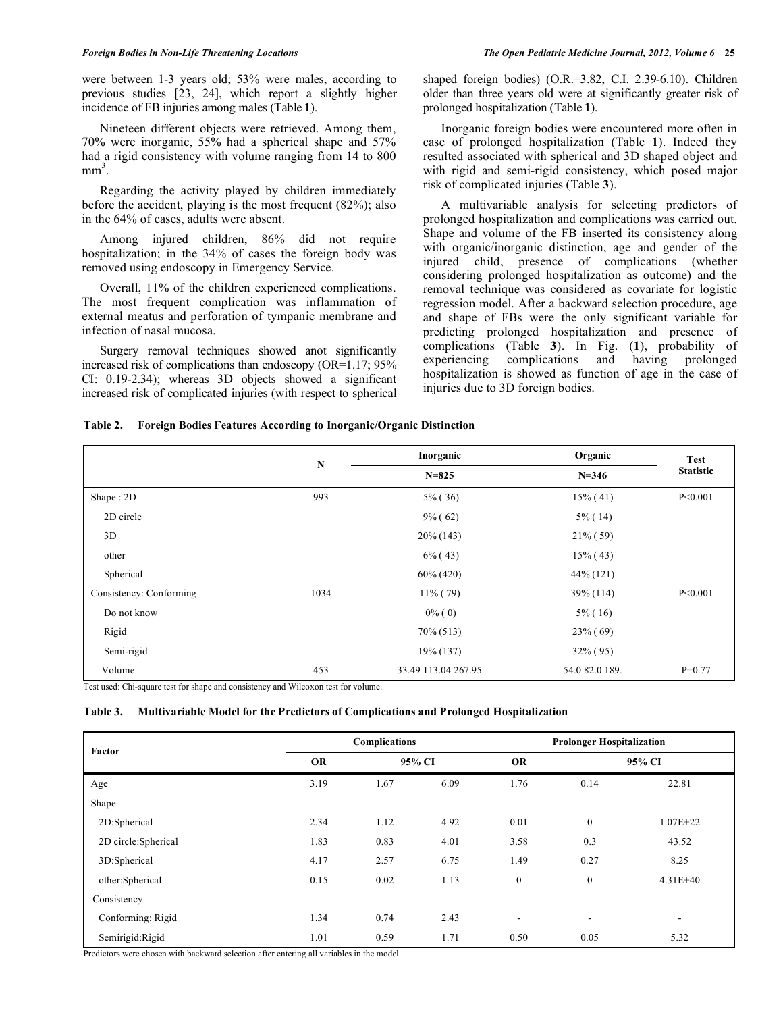were between 1-3 years old; 53% were males, according to previous studies [23, 24], which report a slightly higher incidence of FB injuries among males (Table **1**).

 Nineteen different objects were retrieved. Among them, 70% were inorganic, 55% had a spherical shape and 57% had a rigid consistency with volume ranging from 14 to 800  $mm<sup>3</sup>$ .

 Regarding the activity played by children immediately before the accident, playing is the most frequent (82%); also in the 64% of cases, adults were absent.

 Among injured children, 86% did not require hospitalization; in the 34% of cases the foreign body was removed using endoscopy in Emergency Service.

 Overall, 11% of the children experienced complications. The most frequent complication was inflammation of external meatus and perforation of tympanic membrane and infection of nasal mucosa.

 Surgery removal techniques showed anot significantly increased risk of complications than endoscopy (OR=1.17; 95% CI: 0.19-2.34); whereas 3D objects showed a significant increased risk of complicated injuries (with respect to spherical

shaped foreign bodies) (O.R.=3.82, C.I. 2.39-6.10). Children older than three years old were at significantly greater risk of prolonged hospitalization (Table **1**).

 Inorganic foreign bodies were encountered more often in case of prolonged hospitalization (Table **1**). Indeed they resulted associated with spherical and 3D shaped object and with rigid and semi-rigid consistency, which posed major risk of complicated injuries (Table **3**).

 A multivariable analysis for selecting predictors of prolonged hospitalization and complications was carried out. Shape and volume of the FB inserted its consistency along with organic/inorganic distinction, age and gender of the injured child, presence of complications (whether considering prolonged hospitalization as outcome) and the removal technique was considered as covariate for logistic regression model. After a backward selection procedure, age and shape of FBs were the only significant variable for predicting prolonged hospitalization and presence of complications (Table **3**). In Fig. (**1**), probability of experiencing complications and having prolonged hospitalization is showed as function of age in the case of injuries due to 3D foreign bodies.

#### **Table 2. Foreign Bodies Features According to Inorganic/Organic Distinction**

|                         | $\mathbf N$ | Inorganic           | Organic        | <b>Test</b>      |  |
|-------------------------|-------------|---------------------|----------------|------------------|--|
|                         |             | $N = 825$           | $N = 346$      | <b>Statistic</b> |  |
| Shape: 2D               | 993         | $5\%$ (36)          | $15\%$ (41)    | P < 0.001        |  |
| 2D circle               |             | $9\%$ (62)          | $5\%$ (14)     |                  |  |
| 3D                      |             | $20\%$ (143)        | $21\%$ (59)    |                  |  |
| other                   |             | $6\%$ (43)          | $15\%$ (43)    |                  |  |
| Spherical               |             | $60\% (420)$        | $44\%$ (121)   |                  |  |
| Consistency: Conforming | 1034        | $11\%$ (79)         | 39% (114)      | P < 0.001        |  |
| Do not know             |             | $0\%$ (0)           | $5\%$ (16)     |                  |  |
| Rigid                   |             | $70\% (513)$        | $23\%$ (69)    |                  |  |
| Semi-rigid              |             | 19% (137)           | $32\%$ (95)    |                  |  |
| Volume                  | 453         | 33.49 113.04 267.95 | 54.0 82.0 189. | $P=0.77$         |  |

Test used: Chi-square test for shape and consistency and Wilcoxon test for volume.

#### **Table 3. Multivariable Model for the Predictors of Complications and Prolonged Hospitalization**

| Factor              | Complications |        |      | <b>Prolonger Hospitalization</b> |                          |                          |  |
|---------------------|---------------|--------|------|----------------------------------|--------------------------|--------------------------|--|
|                     | <b>OR</b>     | 95% CI |      | <b>OR</b>                        | 95% CI                   |                          |  |
| Age                 | 3.19          | 1.67   | 6.09 | 1.76                             | 0.14                     | 22.81                    |  |
| Shape               |               |        |      |                                  |                          |                          |  |
| 2D:Spherical        | 2.34          | 1.12   | 4.92 | 0.01                             | $\boldsymbol{0}$         | $1.07E + 22$             |  |
| 2D circle:Spherical | 1.83          | 0.83   | 4.01 | 3.58                             | 0.3                      | 43.52                    |  |
| 3D:Spherical        | 4.17          | 2.57   | 6.75 | 1.49                             | 0.27                     | 8.25                     |  |
| other:Spherical     | 0.15          | 0.02   | 1.13 | $\boldsymbol{0}$                 | $\boldsymbol{0}$         | $4.31E + 40$             |  |
| Consistency         |               |        |      |                                  |                          |                          |  |
| Conforming: Rigid   | 1.34          | 0.74   | 2.43 | $\blacksquare$                   | $\overline{\phantom{a}}$ | $\overline{\phantom{a}}$ |  |
| Semirigid:Rigid     | 1.01          | 0.59   | 1.71 | 0.50                             | 0.05                     | 5.32                     |  |

Predictors were chosen with backward selection after entering all variables in the model.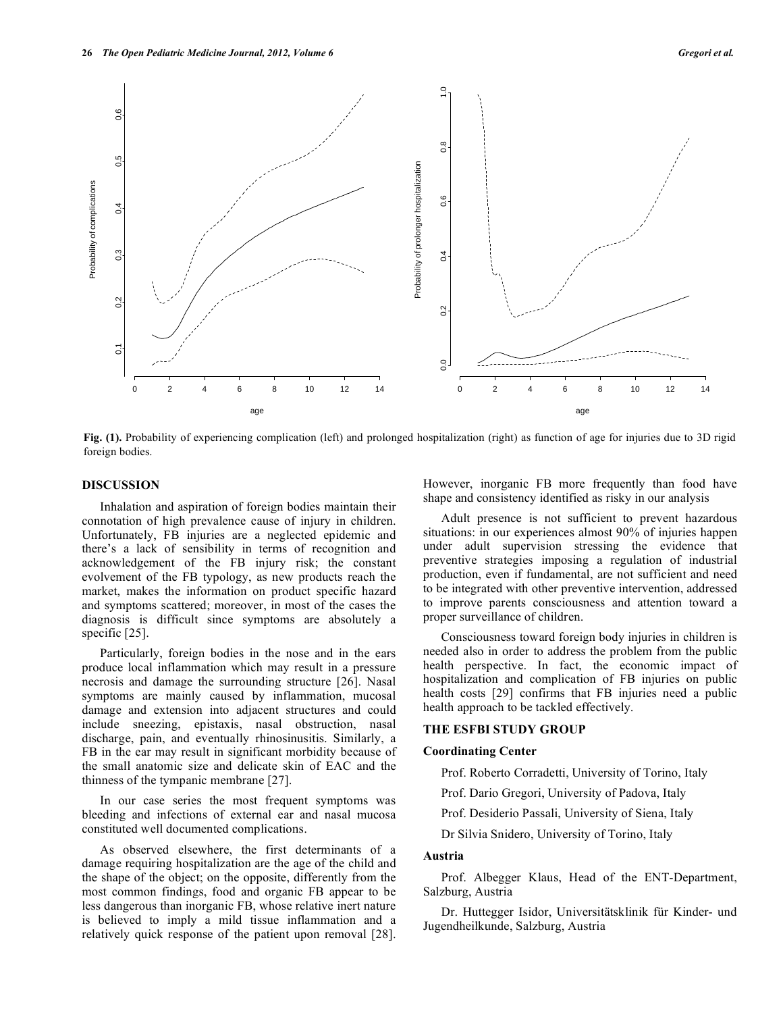

**Fig. (1).** Probability of experiencing complication (left) and prolonged hospitalization (right) as function of age for injuries due to 3D rigid foreign bodies.

# **DISCUSSION**

 Inhalation and aspiration of foreign bodies maintain their connotation of high prevalence cause of injury in children. Unfortunately, FB injuries are a neglected epidemic and there's a lack of sensibility in terms of recognition and acknowledgement of the FB injury risk; the constant evolvement of the FB typology, as new products reach the market, makes the information on product specific hazard and symptoms scattered; moreover, in most of the cases the diagnosis is difficult since symptoms are absolutely a specific [25].

 Particularly, foreign bodies in the nose and in the ears produce local inflammation which may result in a pressure necrosis and damage the surrounding structure [26]. Nasal symptoms are mainly caused by inflammation, mucosal damage and extension into adjacent structures and could include sneezing, epistaxis, nasal obstruction, nasal discharge, pain, and eventually rhinosinusitis. Similarly, a FB in the ear may result in significant morbidity because of the small anatomic size and delicate skin of EAC and the thinness of the tympanic membrane [27].

 In our case series the most frequent symptoms was bleeding and infections of external ear and nasal mucosa constituted well documented complications.

 As observed elsewhere, the first determinants of a damage requiring hospitalization are the age of the child and the shape of the object; on the opposite, differently from the most common findings, food and organic FB appear to be less dangerous than inorganic FB, whose relative inert nature is believed to imply a mild tissue inflammation and a relatively quick response of the patient upon removal [28].

However, inorganic FB more frequently than food have shape and consistency identified as risky in our analysis

 Adult presence is not sufficient to prevent hazardous situations: in our experiences almost 90% of injuries happen under adult supervision stressing the evidence that preventive strategies imposing a regulation of industrial production, even if fundamental, are not sufficient and need to be integrated with other preventive intervention, addressed to improve parents consciousness and attention toward a proper surveillance of children.

 Consciousness toward foreign body injuries in children is needed also in order to address the problem from the public health perspective. In fact, the economic impact of hospitalization and complication of FB injuries on public health costs [29] confirms that FB injuries need a public health approach to be tackled effectively.

## **THE ESFBI STUDY GROUP**

#### **Coordinating Center**

Prof. Roberto Corradetti, University of Torino, Italy

Prof. Dario Gregori, University of Padova, Italy

Prof. Desiderio Passali, University of Siena, Italy

Dr Silvia Snidero, University of Torino, Italy

#### **Austria**

 Prof. Albegger Klaus, Head of the ENT-Department, Salzburg, Austria

 Dr. Huttegger Isidor, Universitätsklinik für Kinder- und Jugendheilkunde, Salzburg, Austria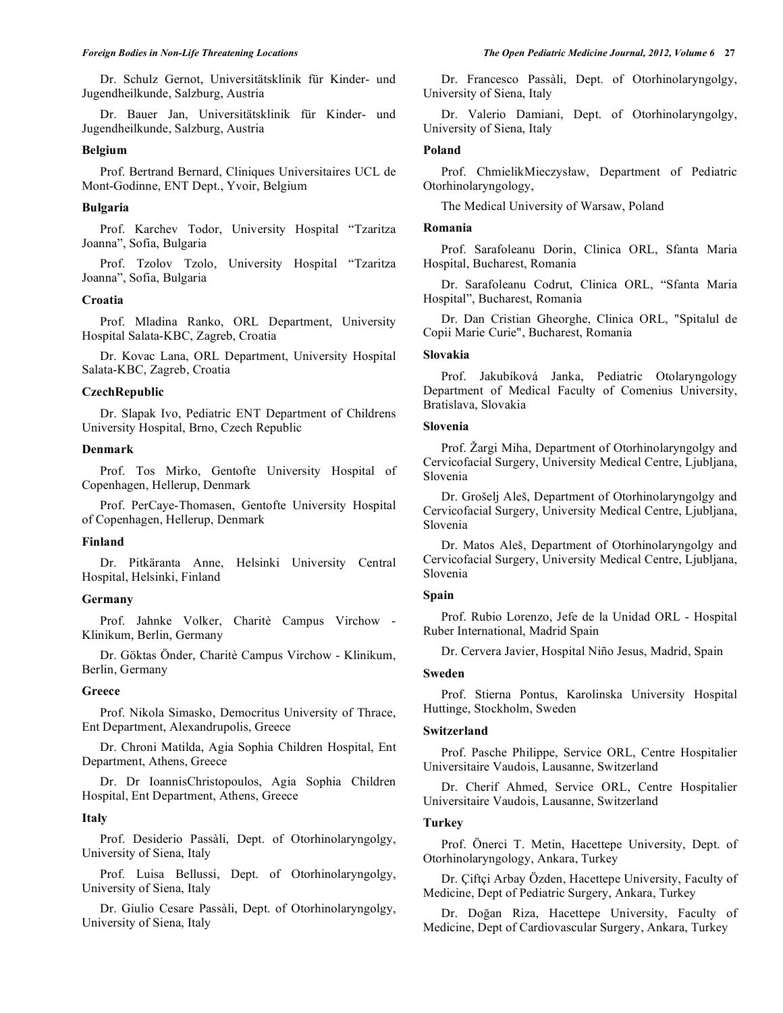Dr. Schulz Gernot, Universitätsklinik für Kinder- und Jugendheilkunde, Salzburg, Austria

 Dr. Bauer Jan, Universitätsklinik für Kinder- und Jugendheilkunde, Salzburg, Austria

# **Belgium**

 Prof. Bertrand Bernard, Cliniques Universitaires UCL de Mont-Godinne, ENT Dept., Yvoir, Belgium

#### **Bulgaria**

 Prof. Karchev Todor, University Hospital "Tzaritza Joanna", Sofia, Bulgaria

 Prof. Tzolov Tzolo, University Hospital "Tzaritza Joanna", Sofia, Bulgaria

#### **Croatia**

 Prof. Mladina Ranko, ORL Department, University Hospital Salata-KBC, Zagreb, Croatia

 Dr. Kovac Lana, ORL Department, University Hospital Salata-KBC, Zagreb, Croatia

### **CzechRepublic**

 Dr. Slapak Ivo, Pediatric ENT Department of Childrens University Hospital, Brno, Czech Republic

## **Denmark**

 Prof. Tos Mirko, Gentofte University Hospital of Copenhagen, Hellerup, Denmark

 Prof. PerCaye-Thomasen, Gentofte University Hospital of Copenhagen, Hellerup, Denmark

#### **Finland**

 Dr. Pitkäranta Anne, Helsinki University Central Hospital, Helsinki, Finland

## **Germany**

 Prof. Jahnke Volker, Charitè Campus Virchow - Klinikum, Berlin, Germany

 Dr. Göktas Önder, Charitè Campus Virchow - Klinikum, Berlin, Germany

### **Greece**

 Prof. Nikola Simasko, Democritus University of Thrace, Ent Department, Alexandrupolis, Greece

 Dr. Chroni Matilda, Agia Sophia Children Hospital, Ent Department, Athens, Greece

 Dr. Dr IoannisChristopoulos, Agia Sophia Children Hospital, Ent Department, Athens, Greece

# **Italy**

 Prof. Desiderio Passàli, Dept. of Otorhinolaryngolgy, University of Siena, Italy

 Prof. Luisa Bellussi, Dept. of Otorhinolaryngolgy, University of Siena, Italy

 Dr. Giulio Cesare Passàli, Dept. of Otorhinolaryngolgy, University of Siena, Italy

 Dr. Francesco Passàli, Dept. of Otorhinolaryngolgy, University of Siena, Italy

 Dr. Valerio Damiani, Dept. of Otorhinolaryngolgy, University of Siena, Italy

#### **Poland**

Prof. ChmielikMieczysław, Department of Pediatric Otorhinolaryngology,

The Medical University of Warsaw, Poland

#### **Romania**

 Prof. Sarafoleanu Dorin, Clinica ORL, Sfanta Maria Hospital, Bucharest, Romania

 Dr. Sarafoleanu Codrut, Clinica ORL, "Sfanta Maria Hospital", Bucharest, Romania

 Dr. Dan Cristian Gheorghe, Clinica ORL, "Spitalul de Copii Marie Curie", Bucharest, Romania

# **Slovakia**

 Prof. Jakubíková Janka, Pediatric Otolaryngology Department of Medical Faculty of Comenius University, Bratislava, Slovakia

# **Slovenia**

Prof. Zargi Miha, Department of Otorhinolaryngolgy and Cervicofacial Surgery, University Medical Centre, Ljubljana, Slovenia

Dr. Grošelj Aleš, Department of Otorhinolaryngolgy and Cervicofacial Surgery, University Medical Centre, Ljubljana, Slovenia

Dr. Matos Aleš, Department of Otorhinolaryngolgy and Cervicofacial Surgery, University Medical Centre, Ljubljana, Slovenia

### **Spain**

 Prof. Rubio Lorenzo, Jefe de la Unidad ORL - Hospital Ruber International, Madrid Spain

Dr. Cervera Javier, Hospital Niño Jesus, Madrid, Spain

# **Sweden**

 Prof. Stierna Pontus, Karolinska University Hospital Huttinge, Stockholm, Sweden

#### **Switzerland**

 Prof. Pasche Philippe, Service ORL, Centre Hospitalier Universitaire Vaudois, Lausanne, Switzerland

 Dr. Cherif Ahmed, Service ORL, Centre Hospitalier Universitaire Vaudois, Lausanne, Switzerland

#### **Turkey**

 Prof. Önerci T. Metin, Hacettepe University, Dept. of Otorhinolaryngology, Ankara, Turkey

 Dr. Çiftçi Arbay Özden, Hacettepe University, Faculty of Medicine, Dept of Pediatric Surgery, Ankara, Turkey

Dr. Doğan Riza, Hacettepe University, Faculty of Medicine, Dept of Cardiovascular Surgery, Ankara, Turkey